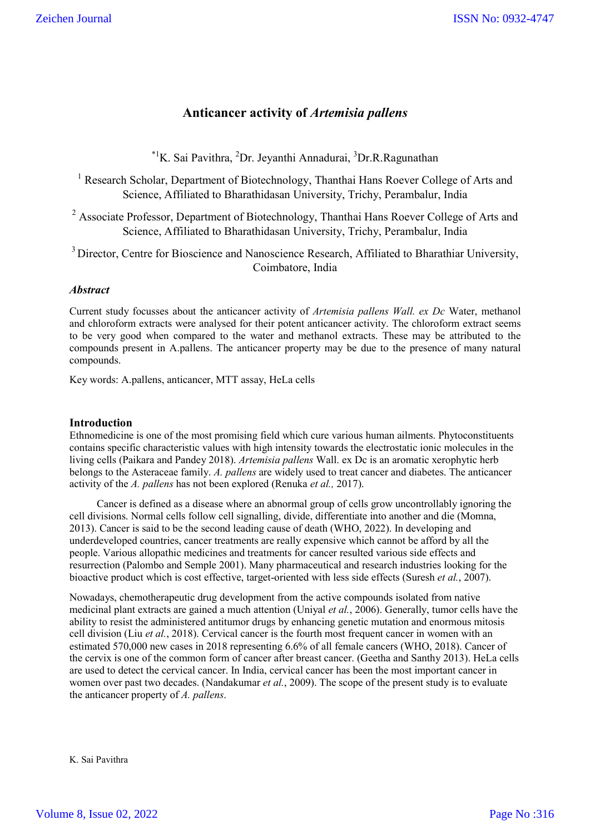# **Anticancer activity of** *Artemisia pallens*

<sup>\*1</sup>K. Sai Pavithra, <sup>2</sup>Dr. Jeyanthi Annadurai, <sup>3</sup>Dr.R.Ragunathan

<sup>1</sup> Research Scholar, Department of Biotechnology, Thanthai Hans Roever College of Arts and Science, Affiliated to Bharathidasan University, Trichy, Perambalur, India

 $2\text{ Associate Professor}$ , Department of Biotechnology, Thanthai Hans Roever College of Arts and Science, Affiliated to Bharathidasan University, Trichy, Perambalur, India

<sup>3</sup> Director, Centre for Bioscience and Nanoscience Research, Affiliated to Bharathiar University, Coimbatore, India

# *Abstract*

Current study focusses about the anticancer activity of *Artemisia pallens Wall. ex Dc* Water, methanol and chloroform extracts were analysed for their potent anticancer activity. The chloroform extract seems to be very good when compared to the water and methanol extracts. These may be attributed to the compounds present in A.pallens. The anticancer property may be due to the presence of many natural compounds.

Key words: A.pallens, anticancer, MTT assay, HeLa cells

#### **Introduction**

Ethnomedicine is one of the most promising field which cure various human ailments. Phytoconstituents contains specific characteristic values with high intensity towards the electrostatic ionic molecules in the living cells (Paikara and Pandey 2018). *Artemisia pallens* Wall. ex Dc is an aromatic xerophytic herb belongs to the Asteraceae family. *A. pallens* are widely used to treat cancer and diabetes. The anticancer activity of the *A. pallens* has not been explored (Renuka *et al.,* 2017).

Cancer is defined as a disease where an abnormal group of cells grow uncontrollably ignoring the cell divisions. Normal cells follow cell signalling, divide, differentiate into another and die (Momna, 2013). Cancer is said to be the second leading cause of death (WHO, 2022). In developing and underdeveloped countries, cancer treatments are really expensive which cannot be afford by all the people. Various allopathic medicines and treatments for cancer resulted various side effects and resurrection (Palombo and Semple 2001). Many pharmaceutical and research industries looking for the bioactive product which is cost effective, target-oriented with less side effects (Suresh *et al.*, 2007).

Nowadays, chemotherapeutic drug development from the active compounds isolated from native medicinal plant extracts are gained a much attention (Uniyal *et al.*, 2006). Generally, tumor cells have the ability to resist the administered antitumor drugs by enhancing genetic mutation and enormous mitosis cell division (Liu *et al.*, 2018). Cervical cancer is the fourth most frequent cancer in women with an estimated 570,000 new cases in 2018 representing 6.6% of all female cancers (WHO, 2018). Cancer of the cervix is one of the common form of cancer after breast cancer. (Geetha and Santhy 2013). HeLa cells are used to detect the cervical cancer. In India, cervical cancer has been the most important cancer in women over past two decades. (Nandakumar *et al.*, 2009). The scope of the present study is to evaluate the anticancer property of *A. pallens*.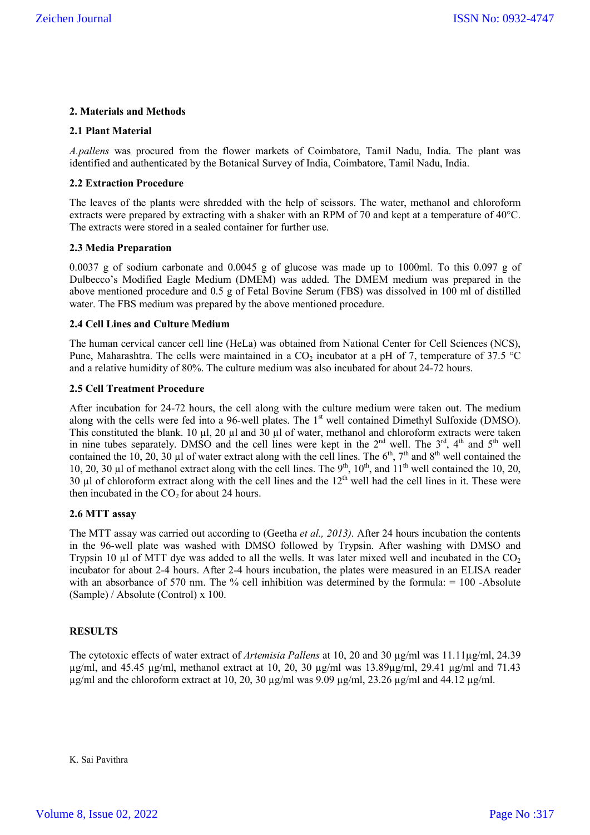# **2. Materials and Methods**

### **2.1 Plant Material**

*A.pallens* was procured from the flower markets of Coimbatore, Tamil Nadu, India. The plant was identified and authenticated by the Botanical Survey of India, Coimbatore, Tamil Nadu, India.

### **2.2 Extraction Procedure**

The leaves of the plants were shredded with the help of scissors. The water, methanol and chloroform extracts were prepared by extracting with a shaker with an RPM of 70 and kept at a temperature of 40°C. The extracts were stored in a sealed container for further use.

#### **2.3 Media Preparation**

0.0037 g of sodium carbonate and 0.0045 g of glucose was made up to 1000ml. To this 0.097 g of Dulbecco's Modified Eagle Medium (DMEM) was added. The DMEM medium was prepared in the above mentioned procedure and 0.5 g of Fetal Bovine Serum (FBS) was dissolved in 100 ml of distilled water. The FBS medium was prepared by the above mentioned procedure.

# **2.4 Cell Lines and Culture Medium**

The human cervical cancer cell line (HeLa) was obtained from National Center for Cell Sciences (NCS), Pune, Maharashtra. The cells were maintained in a CO<sub>2</sub> incubator at a pH of 7, temperature of 37.5 °C and a relative humidity of 80%. The culture medium was also incubated for about 24-72 hours.

# **2.5 Cell Treatment Procedure**

After incubation for 24-72 hours, the cell along with the culture medium were taken out. The medium along with the cells were fed into a 96-well plates. The  $1<sup>st</sup>$  well contained Dimethyl Sulfoxide (DMSO). This constituted the blank. 10  $\mu$ l, 20  $\mu$ l and 30  $\mu$ l of water, methanol and chloroform extracts were taken in nine tubes separately. DMSO and the cell lines were kept in the  $2<sup>nd</sup>$  well. The  $3<sup>rd</sup>$ ,  $4<sup>th</sup>$  and  $5<sup>th</sup>$  well contained the 10, 20, 30 µl of water extract along with the cell lines. The  $6<sup>th</sup>$ ,  $7<sup>th</sup>$  and  $8<sup>th</sup>$  well contained the 10, 20, 30 µl of methanol extract along with the cell lines. The  $9<sup>th</sup>$ ,  $10<sup>th</sup>$ , and  $11<sup>th</sup>$  well contained the 10, 20, 30  $\mu$ l of chloroform extract along with the cell lines and the 12<sup>th</sup> well had the cell lines in it. These were then incubated in the  $CO<sub>2</sub>$  for about 24 hours.

#### **2.6 MTT assay**

The MTT assay was carried out according to (Geetha *et al., 2013)*. After 24 hours incubation the contents in the 96-well plate was washed with DMSO followed by Trypsin. After washing with DMSO and Trypsin 10  $\mu$ l of MTT dye was added to all the wells. It was later mixed well and incubated in the CO<sub>2</sub> incubator for about 2-4 hours. After 2-4 hours incubation, the plates were measured in an ELISA reader with an absorbance of 570 nm. The % cell inhibition was determined by the formula: = 100 -Absolute (Sample) / Absolute (Control) x 100.

#### **RESULTS**

The cytotoxic effects of water extract of *Artemisia Pallens* at 10, 20 and 30 µg/ml was 11.11µg/ml, 24.39  $\mu$ g/ml, and 45.45  $\mu$ g/ml, methanol extract at 10, 20, 30  $\mu$ g/ml was 13.89 $\mu$ g/ml, 29.41  $\mu$ g/ml and 71.43 µg/ml and the chloroform extract at 10, 20, 30 µg/ml was 9.09 µg/ml, 23.26 µg/ml and 44.12 µg/ml.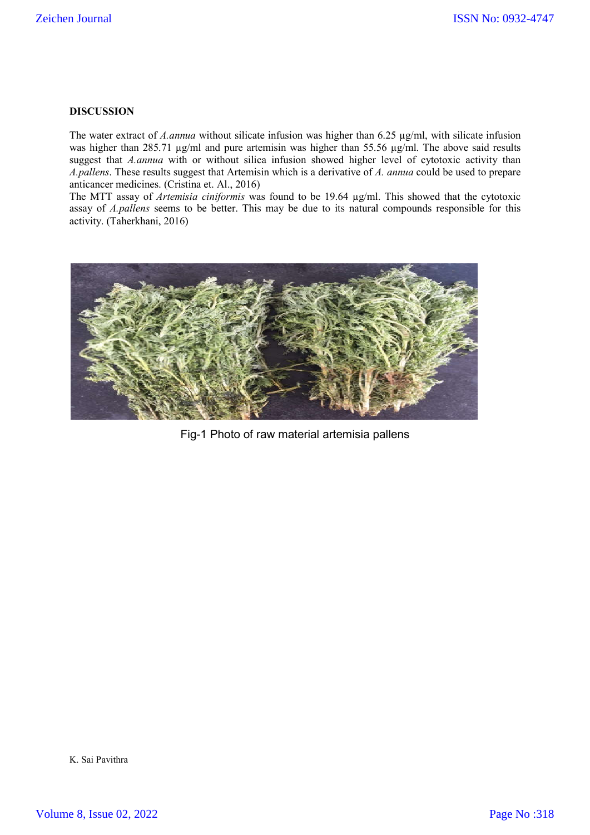# **DISCUSSION**

The water extract of *A.annua* without silicate infusion was higher than 6.25  $\mu$ g/ml, with silicate infusion was higher than 285.71 µg/ml and pure artemisin was higher than 55.56 µg/ml. The above said results suggest that *A.annua* with or without silica infusion showed higher level of cytotoxic activity than *A.pallens*. These results suggest that Artemisin which is a derivative of *A. annua* could be used to prepare anticancer medicines. (Cristina et. Al., 2016)

The MTT assay of *Artemisia ciniformis* was found to be 19.64 µg/ml. This showed that the cytotoxic assay of *A.pallens* seems to be better. This may be due to its natural compounds responsible for this activity. (Taherkhani, 2016)



Fig-1 Photo of raw material artemisia pallens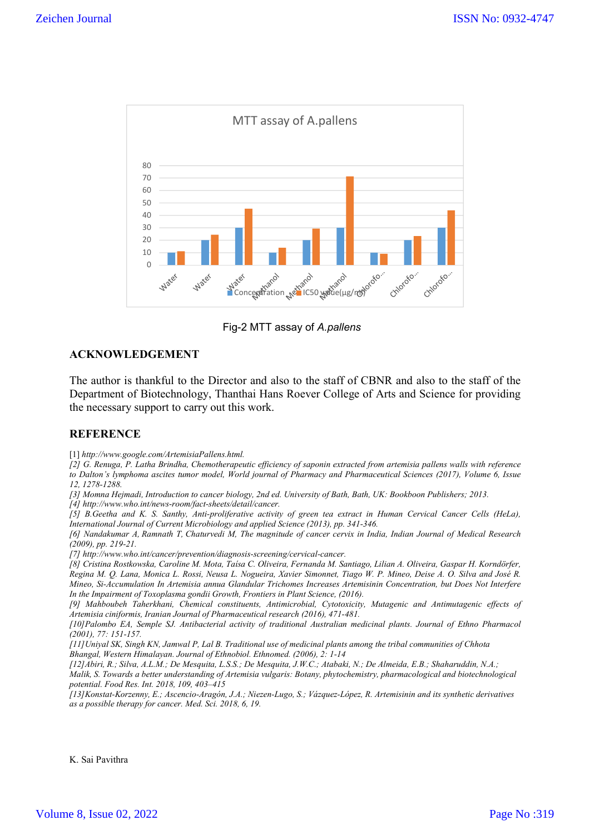

Fig-2 MTT assay of *A.pallens*

# **ACKNOWLEDGEMENT**

The author is thankful to the Director and also to the staff of CBNR and also to the staff of the Department of Biotechnology, Thanthai Hans Roever College of Arts and Science for providing the necessary support to carry out this work.

# **REFERENCE**

[1] *http://www.google.com/ArtemisiaPallens.html.*

*[2] G. Renuga, P. Latha Brindha, Chemotherapeutic efficiency of saponin extracted from artemisia pallens walls with reference to Dalton's lymphoma ascites tumor model, World journal of Pharmacy and Pharmaceutical Sciences (2017), Volume 6, Issue 12, 1278-1288.*

*[3] Momna Hejmadi, Introduction to cancer biology, 2nd ed. University of Bath, Bath, UK: Bookboon Publishers; 2013.*

*[4] http://www.who.int/news-room/fact-sheets/detail/cancer.*

*[5] B.Geetha and K. S. Santhy, Anti-proliferative activity of green tea extract in Human Cervical Cancer Cells (HeLa), International Journal of Current Microbiology and applied Science (2013), pp. 341-346.*

*[6] Nandakumar A, Ramnath T, Chaturvedi M, The magnitude of cancer cervix in India, Indian Journal of Medical Research (2009), pp. 219-21.*

*[7] http://www.who.int/cancer/prevention/diagnosis-screening/cervical-cancer.*

*[8] Cristina Rostkowska, Caroline M. Mota, Taísa C. Oliveira, Fernanda M. Santiago, Lilian A. Oliveira, Gaspar H. Korndörfer, Regina M. Q. Lana, Monica L. Rossi, Neusa L. Nogueira, Xavier Simonnet, Tiago W. P. Mineo, Deise A. O. Silva and José R. Mineo, Si-Accumulation In Artemisia annua Glandular Trichomes Increases Artemisinin Concentration, but Does Not Interfere In the Impairment of Toxoplasma gondii Growth, Frontiers in Plant Science, (2016).*

*[9] Mahboubeh Taherkhani, Chemical constituents, Antimicrobial, Cytotoxicity, Mutagenic and Antimutagenic effects of Artemisia ciniformis, Iranian Journal of Pharmaceutical research (2016), 471-481.*

*[10]Palombo EA, Semple SJ. Antibacterial activity of traditional Australian medicinal plants. Journal of Ethno Pharmacol (2001), 77: 151-157.*

*[11]Uniyal SK, Singh KN, Jamwal P, Lal B. Traditional use of medicinal plants among the tribal communities of Chhota Bhangal, Western Himalayan. Journal of Ethnobiol. Ethnomed. (2006), 2: 1-14*

*[12]Abiri, R.; Silva, A.L.M.; De Mesquita, L.S.S.; De Mesquita, J.W.C.; Atabaki, N.; De Almeida, E.B.; Shaharuddin, N.A.;* 

*Malik, S. Towards a better understanding of Artemisia vulgaris: Botany, phytochemistry, pharmacological and biotechnological potential. Food Res. Int. 2018, 109, 403–415*

*[13]Konstat-Korzenny, E.; Ascencio-Aragón, J.A.; Niezen-Lugo, S.; Vázquez-López, R. Artemisinin and its synthetic derivatives as a possible therapy for cancer. Med. Sci. 2018, 6, 19.*